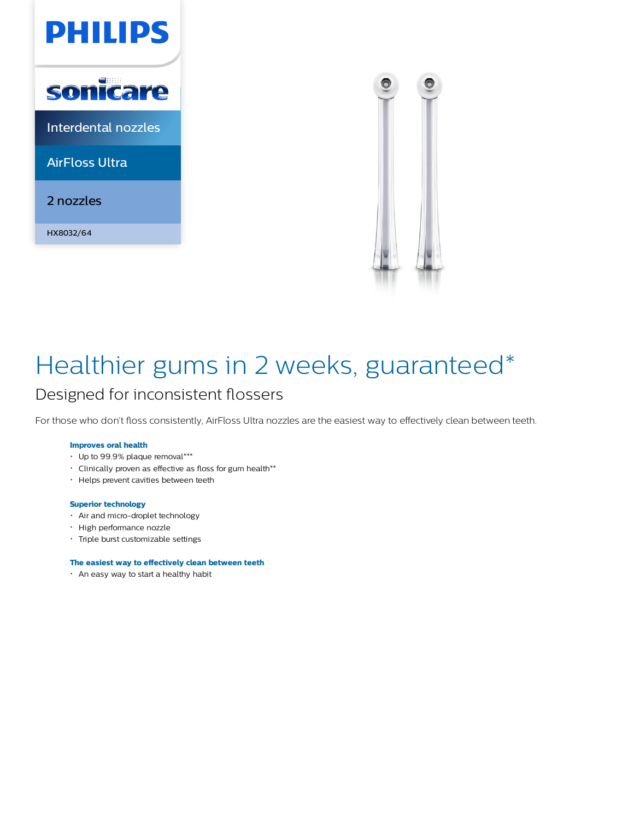



# Healthier gums in 2 weeks, guaranteed\*

### Designed for inconsistent flossers

For those who don't floss consistently, AirFloss Ultra nozzles are the easiest way to effectively clean between teeth.

#### **Improves oral health**

- Up to 99.9% plaque removal\*\*\*
- Clinically proven as effective as floss for gum health\*\*
- Helps prevent cavities between teeth

#### **Superior technology**

- Air and micro-droplet technology
- High performance nozzle
- Triple burst customizable settings

#### **The easiest way to effectively clean between teeth**

An easy way to start a healthy habit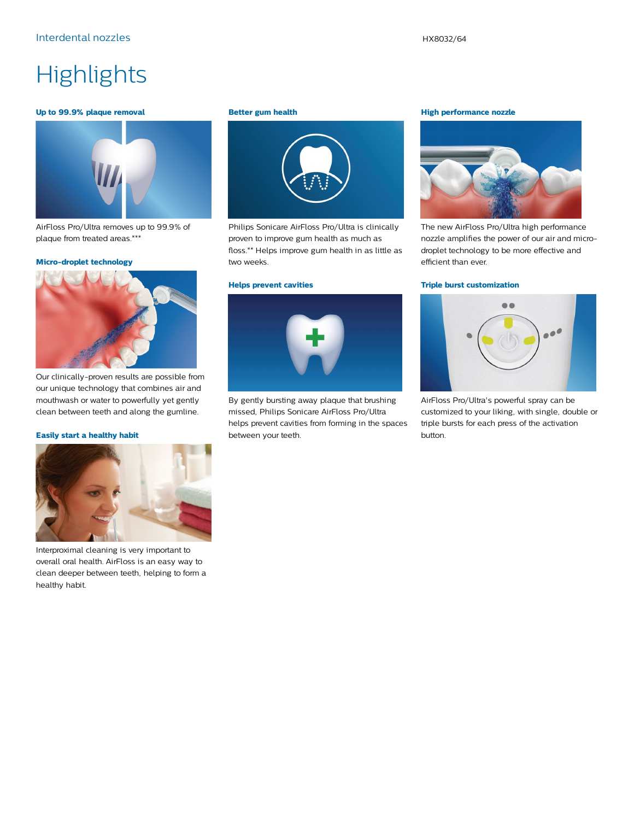### **Highlights**

#### **Up to 99.9% plaque removal**



AirFloss Pro/Ultra removes up to 99.9% of plaque from treated areas.\*\*\*

#### **Micro-droplet technology**



Our clinically-proven results are possible from our unique technology that combines air and mouthwash or water to powerfully yet gently clean between teeth and along the gumline.

#### **Easily start a healthy habit**



Interproximal cleaning is very important to overall oral health. AirFloss is an easy way to clean deeper between teeth, helping to form a healthy habit.

#### **Better gum health**



Philips Sonicare AirFloss Pro/Ultra is clinically proven to improve gum health as much as floss.\*\* Helps improve gum health in as little as two weeks.

#### **Helps prevent cavities**



By gently bursting away plaque that brushing missed, Philips Sonicare AirFloss Pro/Ultra helps prevent cavities from forming in the spaces between your teeth.

#### **High performance nozzle**



The new AirFloss Pro/Ultra high performance nozzle amplifies the power of our air and microdroplet technology to be more effective and efficient than ever.

#### **Triple burst customization**



AirFloss Pro/Ultra's powerful spray can be customized to your liking, with single, double or triple bursts for each press of the activation button.